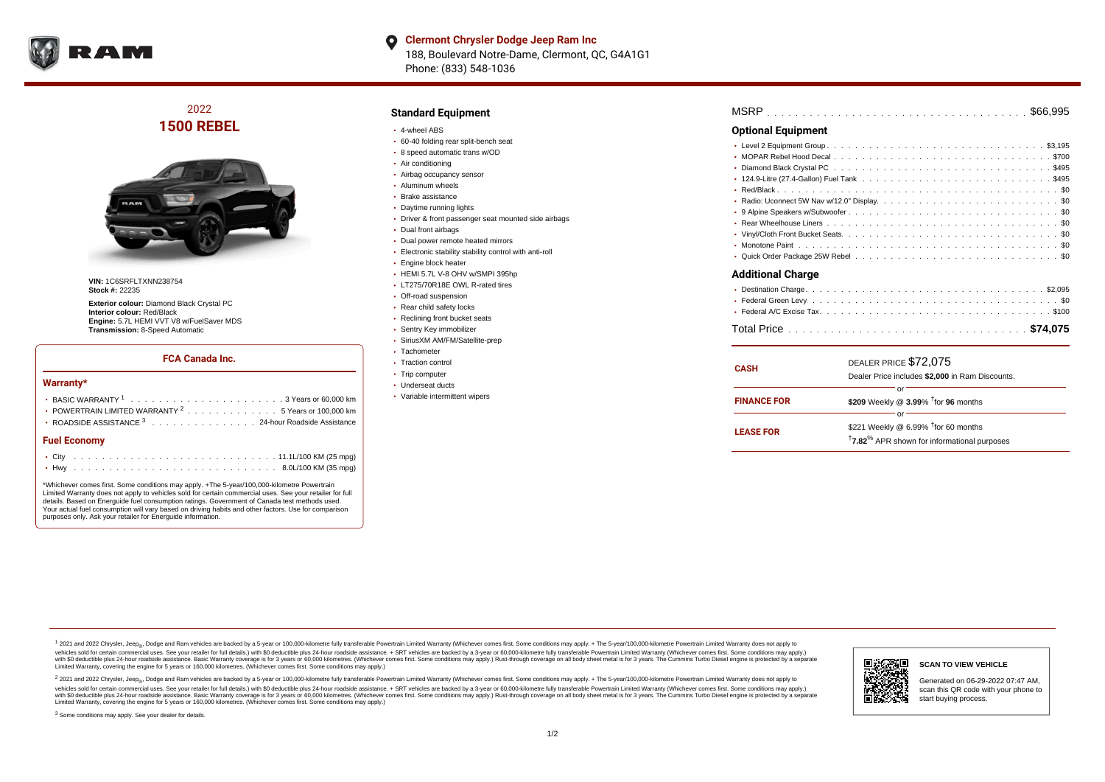

#### **Clermont Chrysler Dodge Jeep Ram Inc**  $\bullet$ 188, Boulevard Notre-Dame, Clermont, QC, G4A1G1 Phone: (833) 548-1036

# 2022 **1500 REBEL**



**VIN:** 1C6SRFLTXNN238754 **Stock #:** 22235

**Exterior colour:** Diamond Black Crystal PC **Interior colour:** Red/Black **Engine:** 5.7L HEMI VVT V8 w/FuelSaver MDS **Transmission:** 8-Speed Automatic

### **FCA Canada Inc.**

#### **Warranty\***

| <b>Fuel Economy</b>                                                                      |  |  |  |  |  |
|------------------------------------------------------------------------------------------|--|--|--|--|--|
| ROADSIDE ASSISTANCE 3 24-hour Roadside Assistance                                        |  |  |  |  |  |
| • POWERTRAIN LIMITED WARRANTY $2, \ldots, \ldots, \ldots, \ldots, 5$ Years or 100,000 km |  |  |  |  |  |
|                                                                                          |  |  |  |  |  |
|                                                                                          |  |  |  |  |  |

\*Whichever comes first. Some conditions may apply. +The 5-year/100,000-kilometre Powertrain Limited Warranty does not apply to vehicles sold for certain commercial uses. See your retailer for full details. Based on Energuide fuel consumption ratings. Government of Canada test methods used. Your actual fuel consumption will vary based on driving habits and other factors. Use for comparison purposes only. Ask your retailer for Energuide information.

. . . . . . . . . . . . . . . . . . . . . . . . . . . . . . . . . . . . . . . . . . . Hwy 8.0L/100 KM (35 mpg)

### **Standard Equipment**

- 4-wheel ABS
- 60-40 folding rear split-bench seat
- 8 speed automatic trans w/OD
- Air conditioning
- Airbag occupancy sensor
- Aluminum wheels
- Brake assistance
- Daytime running lights
- Driver & front passenger seat mounted side airbags
- Dual front airbags
- Dual power remote heated mirrors
- Electronic stability stability control with anti-roll
- **Engine block heater**
- HEMI 5.7L V-8 OHV w/SMPI 395hp
- LT275/70R18E OWL R-rated tires
- Off-road suspension
- Rear child safety locks
- Reclining front bucket seats
- Sentry Key immobilizer
- SiriusXM AM/FM/Satellite-prep
- Tachometer
- Traction control
- Trip computer
- Underseat ducts
- Variable intermittent wipers

| <b>Optional Equipment</b> |
|---------------------------|
|                           |
|                           |
| <b>Additional Charge</b>  |
|                           |

| <b>CASH</b>        | DEALER PRICE \$72,075<br>Dealer Price includes \$2,000 in Ram Discounts.                                              |
|--------------------|-----------------------------------------------------------------------------------------------------------------------|
| <b>FINANCE FOR</b> | Ωľ<br>\$209 Weekly @ 3.99% <sup>t</sup> for 96 months                                                                 |
| <b>LEASE FOR</b>   | റ്റ്<br>\$221 Weekly @ 6.99% $†$ for 60 months<br><sup>†</sup> 7.82 <sup>%</sup> APR shown for informational purposes |

. . . . . . . . . . . . . . . . . . . . . . . . . . . . . . . . . . . . . . . . . . . . . . Total Price **\$74,075**

<sup>1</sup> 2021 and 2022 Chrysler, Jeep<sub>®</sub>, Dodge and Ram vehicles are backed by a 5-year or 100,000-kilometre fully transferable Powertrain Limited Warranty (Whichever comes first. Some conditions may apply. + The 5-year/100,000 vehicles sold for certain commercial uses. See your retailer for full details.) with \$0 deductible plus 24 hour roadside assistance. + SRT vehicles are backed by a 3-year or 60,000-kilometre fully transferable Powertrain L versus and contract the mean of the contract of the contract with a contract with a contract the contract of the contract of the contract the contract of the contract of the contract of the contract of the contract of the Limited Warranty, covering the engine for 5 years or 160,000 kilometres. (Whichever comes first. Some conditions may apply.)

2 2021 and 2022 Chrysler, Jeep<sub>®</sub>, Dodge and Ram vehicles are backed by a 5-year or 100,000-kilometre fully transferable Powertrain Limited Warranty (Whichever comes first. Some conditions may apply. + The 5-year/100,000-k vehicles sold for certain commercial uses. See your retailer for full details.) with SO deductible plus 24-hour roadside assistance. + SRT vehicles are backed by a 3-year or 60.000-kilometre fully transferable Powertrain L with S0 deductible plus 24-hour roadside assistance. Basic Warranty coverage is for 3 years or 60,000 kilometres. (Whichever comes first. Some conditions may apply.) Rust-through coverage on all body sheet metal is for 3 y



**SCAN TO VIEW VEHICLE**

Generated on 06-29-2022 07:47 AM, scan this QR code with your phone to start buying process.

<sup>3</sup> Some conditions may apply. See your dealer for details.